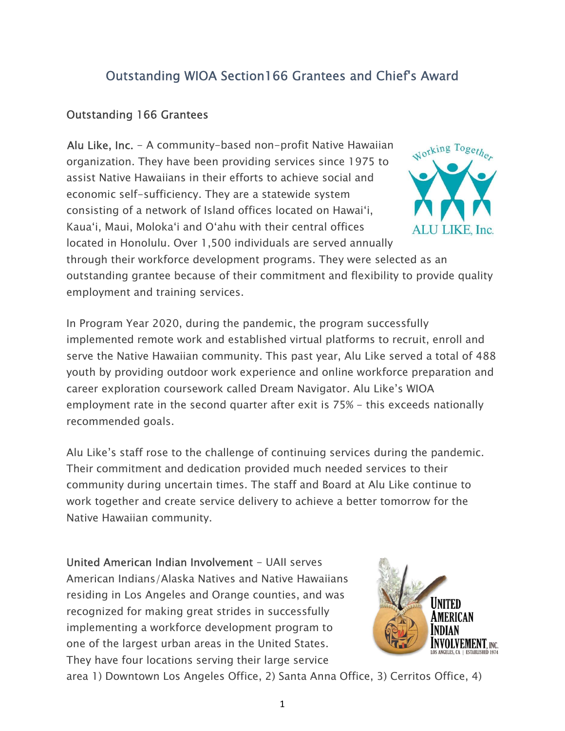## Outstanding WIOA Section166 Grantees and Chief's Award

## Outstanding 166 Grantees

Alu Like, Inc. - A community-based non-profit Native Hawaiian organization. They have been providing services since 1975 to assist Native Hawaiians in their efforts to achieve social and economic self-sufficiency. They are a statewide system consisting of a network of Island offices located on Hawai'i, Kaua'i, Maui, Moloka'i and O'ahu with their central offices located in Honolulu. Over 1,500 individuals are served annually



through their workforce development programs. They were selected as an outstanding grantee because of their commitment and flexibility to provide quality employment and training services.

In Program Year 2020, during the pandemic, the program successfully implemented remote work and established virtual platforms to recruit, enroll and serve the Native Hawaiian community. This past year, Alu Like served a total of 488 youth by providing outdoor work experience and online workforce preparation and career exploration coursework called Dream Navigator. Alu Like's WIOA employment rate in the second quarter after exit is 75% - this exceeds nationally recommended goals.

Alu Like's staff rose to the challenge of continuing services during the pandemic. Their commitment and dedication provided much needed services to their community during uncertain times. The staff and Board at Alu Like continue to work together and create service delivery to achieve a better tomorrow for the Native Hawaiian community.

United American Indian Involvement - UAII serves American Indians/Alaska Natives and Native Hawaiians residing in Los Angeles and Orange counties, and was recognized for making great strides in successfully implementing a workforce development program to one of the largest urban areas in the United States. They have four locations serving their large service



area 1) Downtown Los Angeles Office, 2) Santa Anna Office, 3) Cerritos Office, 4)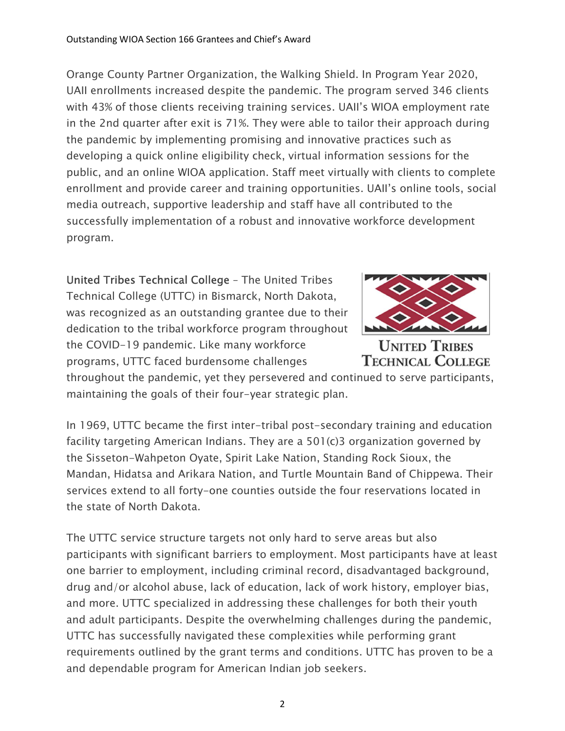Orange County Partner Organization, the Walking Shield. In Program Year 2020, UAII enrollments increased despite the pandemic. The program served 346 clients with 43% of those clients receiving training services. UAII's WIOA employment rate in the 2nd quarter after exit is 71%. They were able to tailor their approach during the pandemic by implementing promising and innovative practices such as developing a quick online eligibility check, virtual information sessions for the public, and an online WIOA application. Staff meet virtually with clients to complete enrollment and provide career and training opportunities. UAII's online tools, social media outreach, supportive leadership and staff have all contributed to the successfully implementation of a robust and innovative workforce development program.

United Tribes Technical College – The United Tribes Technical College (UTTC) in Bismarck, North Dakota, was recognized as an outstanding grantee due to their dedication to the tribal workforce program throughout the COVID-19 pandemic. Like many workforce programs, UTTC faced burdensome challenges



**UNITED TRIBES TECHNICAL COLLEGE** 

throughout the pandemic, yet they persevered and continued to serve participants, maintaining the goals of their four-year strategic plan.

In 1969, UTTC became the first inter-tribal post-secondary training and education facility targeting American Indians. They are a 501(c)3 organization governed by the Sisseton-Wahpeton Oyate, Spirit Lake Nation, Standing Rock Sioux, the Mandan, Hidatsa and Arikara Nation, and Turtle Mountain Band of Chippewa. Their services extend to all forty-one counties outside the four reservations located in the state of North Dakota.

The UTTC service structure targets not only hard to serve areas but also participants with significant barriers to employment. Most participants have at least one barrier to employment, including criminal record, disadvantaged background, drug and/or alcohol abuse, lack of education, lack of work history, employer bias, and more. UTTC specialized in addressing these challenges for both their youth and adult participants. Despite the overwhelming challenges during the pandemic, UTTC has successfully navigated these complexities while performing grant requirements outlined by the grant terms and conditions. UTTC has proven to be a and dependable program for American Indian job seekers.